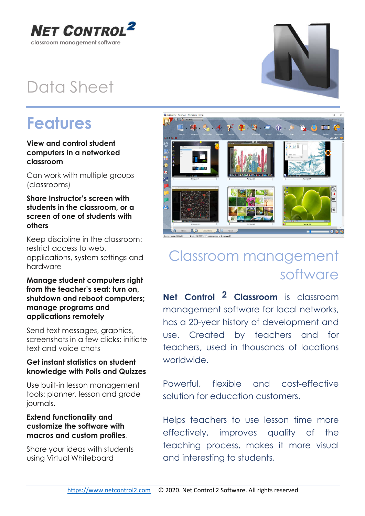

### Data Sheet

### Features

#### View and control student computers in a networked classroom

Can work with multiple groups (classrooms)

#### Share Instructor's screen with students in the classroom, or a screen of one of students with others

Keep discipline in the classroom: restrict access to web, applications, system settings and hardware

#### Manage student computers right from the teacher's seat: turn on, shutdown and reboot computers; manage programs and applications remotely

Send text messages, graphics, screenshots in a few clicks; initiate text and voice chats

#### Get instant statistics on student knowledge with Polls and Quizzes

Use built-in lesson management tools: planner, lesson and grade journals.

#### Extend functionality and customize the software with macros and custom profiles.

Share your ideas with students using Virtual Whiteboard



### Classroom management software

Net Control <sup>2</sup> Classroom is classroom management software for local networks, has a 20-year history of development and use. Created by teachers and for teachers, used in thousands of locations worldwide.

Powerful, flexible and cost-effective solution for education customers.

Helps teachers to use lesson time more effectively, improves quality of the teaching process, makes it more visual and interesting to students.